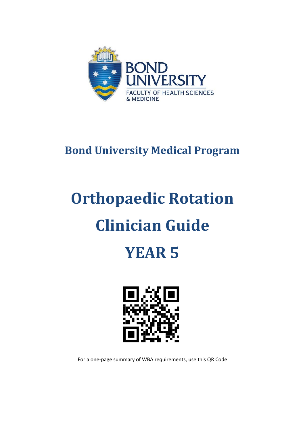

### **Bond University Medical Program**

# **Orthopaedic Rotation Clinician Guide**

## **YEAR 5**



For a one-page summary of WBA requirements, use this QR Code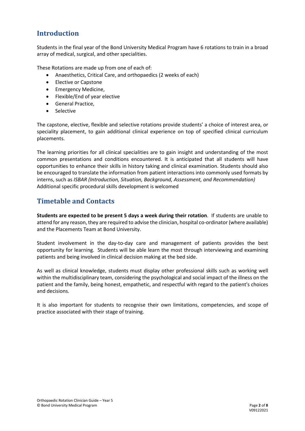#### **Introduction**

Students in the final year of the Bond University Medical Program have 6 rotations to train in a broad array of medical, surgical, and other specialities.

These Rotations are made up from one of each of:

- Anaesthetics, Critical Care, and orthopaedics (2 weeks of each)
- Elective or Capstone
- Emergency Medicine,
- Flexible/End of year elective
- General Practice,
- Selective

The capstone, elective, flexible and selective rotations provide students' a choice of interest area, or speciality placement, to gain additional clinical experience on top of specified clinical curriculum placements.

The learning priorities for all clinical specialities are to gain insight and understanding of the most common presentations and conditions encountered. It is anticipated that all students will have opportunities to enhance their skills in history taking and clinical examination. Students should also be encouraged to translate the information from patient interactions into commonly used formats by interns, such as *ISBAR (Introduction, Situation, Background, Assessment, and Recommendation)* Additional specific procedural skills development is welcomed

#### **Timetable and Contacts**

**Students are expected to be present 5 days a week during their rotation**. If students are unable to attend for any reason, they are required to advise the clinician, hospital co-ordinator (where available) and the Placements Team at Bond University.

Student involvement in the day-to-day care and management of patients provides the best opportunity for learning. Students will be able learn the most through interviewing and examining patients and being involved in clinical decision making at the bed side.

As well as clinical knowledge, students must display other professional skills such as working well within the multidisciplinary team, considering the psychological and social impact of the illness on the patient and the family, being honest, empathetic, and respectful with regard to the patient's choices and decisions.

It is also important for students to recognise their own limitations, competencies, and scope of practice associated with their stage of training.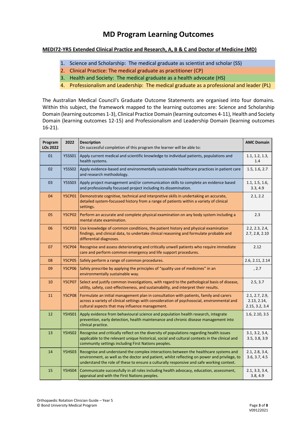#### **MD Program Learning Outcomes**

#### **MEDI72-YR5 Extended Clinical Practice and Research, A, B & C and Doctor of Medicine (MD)**

- 1. Science and Scholarship: The medical graduate as scientist and scholar (SS)
- 2. Clinical Practice: The medical graduate as practitioner (CP)
- 3. Health and Society: The medical graduate as a health advocate (HS)
- 4. Professionalism and Leadership: The medical graduate as a professional and leader (PL)

The Australian Medical Council's Graduate Outcome Statements are organised into four domains. Within this subject, the framework mapped to the learning outcomes are: Science and Scholarship Domain (learning outcomes 1-3), Clinical Practice Domain (learning outcomes 4-11), Health and Society Domain (learning outcomes 12-15) and Professionalism and Leadership Domain (learning outcomes 16-21).

| Program<br><b>LOs 2022</b> | 2022          | <b>Description</b><br>On successful completion of this program the learner will be able to:                                                                                                                                                                                      | <b>AMC Domain</b>                               |
|----------------------------|---------------|----------------------------------------------------------------------------------------------------------------------------------------------------------------------------------------------------------------------------------------------------------------------------------|-------------------------------------------------|
| 01                         | <b>Y5SS01</b> | Apply current medical and scientific knowledge to individual patients, populations and<br>health systems.                                                                                                                                                                        | 1.1, 1.2, 1.3,<br>1.4                           |
| 02                         | <b>Y5SS02</b> | Apply evidence-based and environmentally sustainable healthcare practices in patient care<br>and research methodology.                                                                                                                                                           | 1.5, 1.6, 2.7                                   |
| 03                         | <b>Y5SS03</b> | Apply project management and/or communication skills to complete an evidence based<br>and professionally focussed project including its dissemination.                                                                                                                           | 1.1, 1.5, 1.6,<br>3.3, 4.9                      |
| 04                         | <b>Y5CP01</b> | Demonstrate cognitive, technical and interpretive skills in undertaking an accurate,<br>detailed system-focussed history from a range of patients within a variety of clinical<br>settings.                                                                                      | 2.1, 2.2                                        |
| 05                         | <b>Y5CP02</b> | Perform an accurate and complete physical examination on any body system including a<br>mental state examination.                                                                                                                                                                | 2.3                                             |
| 06                         | <b>Y5CP03</b> | Use knowledge of common conditions, the patient history and physical examination<br>findings, and clinical data, to undertake clinical reasoning and formulate probable and<br>differential diagnoses.                                                                           | 2.2, 2.3, 2.4,<br>2.7, 2.8, 2.10                |
| 07                         | <b>Y5CP04</b> | Recognise and assess deteriorating and critically unwell patients who require immediate<br>care and perform common emergency and life support procedures.                                                                                                                        | 2.12                                            |
| 08                         | <b>Y5CP05</b> | Safely perform a range of common procedures.                                                                                                                                                                                                                                     | 2.6, 2.11, 2.14                                 |
| 09                         | <b>Y5CP06</b> | Safely prescribe by applying the principles of "quality use of medicines" in an<br>environmentally sustainable way.                                                                                                                                                              | , 2.7                                           |
| 10                         | <b>Y5CP07</b> | Select and justify common investigations, with regard to the pathological basis of disease,<br>utility, safety, cost-effectiveness, and sustainability, and interpret their results.                                                                                             | 2.5, 3.7                                        |
| 11                         | <b>Y5CP08</b> | Formulate an initial management plan in consultation with patients, family and carers<br>across a variety of clinical settings with consideration of psychosocial, environmental and<br>cultural aspects that may influence management.                                          | 2.1, 2.7, 2.9,<br>2.13, 2.14,<br>2.15, 3.2, 3.4 |
| 12                         | <b>Y5HS01</b> | Apply evidence from behavioural science and population health research, integrate<br>prevention, early detection, health maintenance and chronic disease management into<br>clinical practice.                                                                                   | 1.6, 2.10, 3.5                                  |
| 13                         | <b>Y5HS02</b> | Recognise and critically reflect on the diversity of populations regarding health issues<br>applicable to the relevant unique historical, social and cultural contexts in the clinical and<br>community settings including First Nations peoples.                                | 3.1, 3.2, 3.4,<br>3.5, 3.8, 3.9                 |
| 14                         | <b>Y5HS03</b> | Recognise and understand the complex interactions between the healthcare systems and<br>environment, as well as the doctor and patient, whilst reflecting on power and privilege, to<br>understand the role of these to ensure a culturally responsive and safe working context. | 2.1, 2.8, 3.4,<br>3.6, 3.7, 4.5                 |
| 15                         | <b>Y5HS04</b> | Communicate successfully in all roles including health advocacy, education, assessment,<br>appraisal and with the First Nations peoples.                                                                                                                                         | 2.1, 3.3, 3.4,<br>3.8, 4.9                      |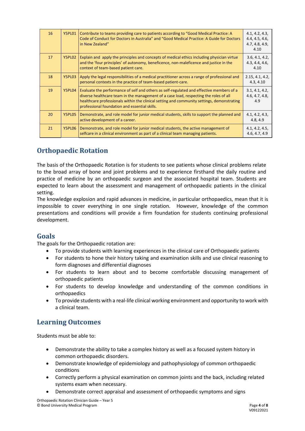| 16 | Y5PL01 | Contribute to teams providing care to patients according to "Good Medical Practice: A<br>Code of Conduct for Doctors in Australia" and "Good Medical Practice: A Guide for Doctors<br>in New Zealand"                                                                                                                            | 4.1, 4.2, 4.3,<br>4.4, 4.5, 4.6,<br>4.7, 4.8, 4.9,<br>4.10 |
|----|--------|----------------------------------------------------------------------------------------------------------------------------------------------------------------------------------------------------------------------------------------------------------------------------------------------------------------------------------|------------------------------------------------------------|
| 17 | Y5PL02 | Explain and apply the principles and concepts of medical ethics including physician virtue<br>and the 'four principles' of autonomy, beneficence, non-maleficence and justice in the<br>context of team-based patient care.                                                                                                      | 3.6, 4.1, 4.2,<br>4.3, 4.4, 4.6,<br>4.10                   |
| 18 | Y5PL03 | Apply the legal responsibilities of a medical practitioner across a range of professional and<br>personal contexts in the practice of team-based patient-care.                                                                                                                                                                   | 2.15, 4.1, 4.2,<br>4.3, 4.10                               |
| 19 | Y5PL04 | Evaluate the performance of self and others as self-regulated and effective members of a<br>diverse healthcare team in the management of a case load, respecting the roles of all<br>healthcare professionals within the clinical setting and community settings, demonstrating<br>professional foundation and essential skills. | 3.1, 4.1, 4.2,<br>4.6, 4.7, 4.8,<br>4.9                    |
| 20 | Y5PL05 | Demonstrate, and role model for junior medical students, skills to support the planned and<br>active development of a career.                                                                                                                                                                                                    | 4.1, 4.2, 4.3,<br>4.8, 4.9                                 |
| 21 | Y5PL06 | Demonstrate, and role model for junior medical students, the active management of<br>selfcare in a clinical environment as part of a clinical team managing patients.                                                                                                                                                            | 4.1, 4.2, 4.5,<br>4.6, 4.7, 4.9                            |

#### **Orthopaedic Rotation**

The basis of the Orthopaedic Rotation is for students to see patients whose clinical problems relate to the broad array of bone and joint problems and to experience firsthand the daily routine and practice of medicine by an orthopaedic surgeon and the associated hospital team. Students are expected to learn about the assessment and management of orthopaedic patients in the clinical setting.

The knowledge explosion and rapid advances in medicine, in particular orthopaedics, mean that it is impossible to cover everything in one single rotation. However, knowledge of the common presentations and conditions will provide a firm foundation for students continuing professional development.

#### **Goals**

The goals for the Orthopaedic rotation are:

- To provide students with learning experiences in the clinical care of Orthopaedic patients
- For students to hone their history taking and examination skills and use clinical reasoning to form diagnoses and differential diagnoses
- For students to learn about and to become comfortable discussing management of orthopaedic patients
- For students to develop knowledge and understanding of the common conditions in orthopaedics
- To provide students with a real-life clinical working environment and opportunity to work with a clinical team.

#### **Learning Outcomes**

Students must be able to:

- Demonstrate the ability to take a complex history as well as a focused system history in common orthopaedic disorders.
- Demonstrate knowledge of epidemiology and pathophysiology of common orthopaedic conditions
- Correctly perform a physical examination on common joints and the back, including related systems exam when necessary.
- Demonstrate correct appraisal and assessment of orthopaedic symptoms and signs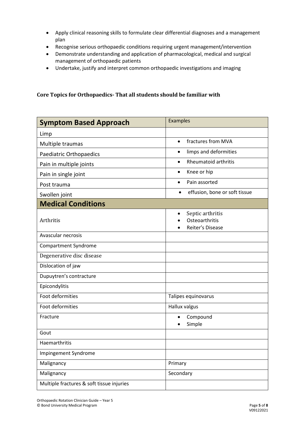- Apply clinical reasoning skills to formulate clear differential diagnoses and a management plan
- Recognise serious orthopaedic conditions requiring urgent management/intervention
- Demonstrate understanding and application of pharmacological, medical and surgical management of orthopaedic patients
- Undertake, justify and interpret common orthopaedic investigations and imaging

**Core Topics for Orthopaedics- That all students should be familiar with**

| <b>Symptom Based Approach</b>             | <b>Examples</b>                                        |  |
|-------------------------------------------|--------------------------------------------------------|--|
| Limp                                      |                                                        |  |
| Multiple traumas                          | fractures from MVA<br>$\bullet$                        |  |
| Paediatric Orthopaedics                   | limps and deformities<br>$\bullet$                     |  |
| Pain in multiple joints                   | <b>Rheumatoid arthritis</b><br>$\bullet$               |  |
| Pain in single joint                      | Knee or hip<br>$\bullet$                               |  |
| Post trauma                               | Pain assorted<br>$\bullet$                             |  |
| Swollen joint                             | effusion, bone or soft tissue<br>$\bullet$             |  |
| <b>Medical Conditions</b>                 |                                                        |  |
| Arthritis                                 | Septic arthritis<br>Osteoarthritis<br>Reiter's Disease |  |
| Avascular necrosis                        |                                                        |  |
| <b>Compartment Syndrome</b>               |                                                        |  |
| Degenerative disc disease                 |                                                        |  |
| Dislocation of jaw                        |                                                        |  |
| Dupuytren's contracture                   |                                                        |  |
| Epicondylitis                             |                                                        |  |
| Foot deformities                          | Talipes equinovarus                                    |  |
| Foot deformities                          | Hallux valgus                                          |  |
| Fracture                                  | Compound<br>Simple                                     |  |
| Gout                                      |                                                        |  |
| Haemarthritis                             |                                                        |  |
| Impingement Syndrome                      |                                                        |  |
| Malignancy                                | Primary                                                |  |
| Malignancy                                | Secondary                                              |  |
| Multiple fractures & soft tissue injuries |                                                        |  |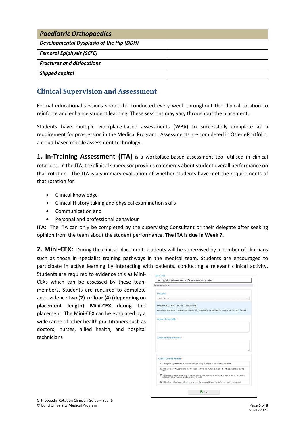| <b>Paediatric Orthopaedics</b>                  |  |  |  |
|-------------------------------------------------|--|--|--|
| <b>Developmental Dysplasia of the Hip (DDH)</b> |  |  |  |
| <b>Femoral Epiphysis (SCFE)</b>                 |  |  |  |
| <b>Fractures and dislocations</b>               |  |  |  |
| <b>Slipped capital</b>                          |  |  |  |

#### **Clinical Supervision and Assessment**

Formal educational sessions should be conducted every week throughout the clinical rotation to reinforce and enhance student learning. These sessions may vary throughout the placement.

Students have multiple workplace-based assessments (WBA) to successfully complete as a requirement for progression in the Medical Program. Assessments are completed in Osler ePortfolio, a cloud-based mobile assessment technology.

**1. In-Training Assessment (ITA)** is a workplace-based assessment tool utilised in clinical rotations. In the ITA, the clinical supervisor provides comments about student overall performance on that rotation. The ITA is a summary evaluation of whether students have met the requirements of that rotation for:

- Clinical knowledge
- Clinical History taking and physical examination skills
- Communication and
- Personal and professional behaviour

**ITA:** The ITA can only be completed by the supervising Consultant or their delegate after seeking opinion from the team about the student performance. **The ITA is due in Week 7.**

2. Mini-CEX: During the clinical placement, students will be supervised by a number of clinicians such as those in specialist training pathways in the medical team. Students are encouraged to participate in active learning by interacting with patients, conducting a relevant clinical activity.

Students are required to evidence this as Mini-CEXs which can be assessed by these team members. Students are required to complete and evidence two (**2) or four (4) (depending on placement length) Mini-CEX** during this placement: The Mini-CEX can be evaluated by a wide range of other health practitioners such as doctors, nurses, allied health, and hospital technicians

| History / Physical examination / Procedural Skill / Other |                                                                                                                                                                         |  |
|-----------------------------------------------------------|-------------------------------------------------------------------------------------------------------------------------------------------------------------------------|--|
| Assessment Criteria                                       |                                                                                                                                                                         |  |
| Location*                                                 |                                                                                                                                                                         |  |
| Select Location                                           |                                                                                                                                                                         |  |
| Feedback to assist student's learning:                    |                                                                                                                                                                         |  |
|                                                           | Please describe the Student's Performance: what was effective and ineffective, your overall impression and any specific feedback.                                       |  |
| Areas of strength:*                                       |                                                                                                                                                                         |  |
|                                                           |                                                                                                                                                                         |  |
|                                                           |                                                                                                                                                                         |  |
|                                                           |                                                                                                                                                                         |  |
|                                                           |                                                                                                                                                                         |  |
| Areas of development:*                                    |                                                                                                                                                                         |  |
|                                                           |                                                                                                                                                                         |  |
|                                                           |                                                                                                                                                                         |  |
|                                                           | O 1. Requires my assistance to complete this task safely in addition to close direct supervision                                                                        |  |
| Global Overall result:*<br>task)                          | O 2. Requires direct supervision (I need to be present with the student to observe the interaction and review the                                                       |  |
|                                                           | O 3. Requires proximal supervision (I need to be in an adjacent room or on the same ward as the student and be<br>able to provide immediate or detailed review of task) |  |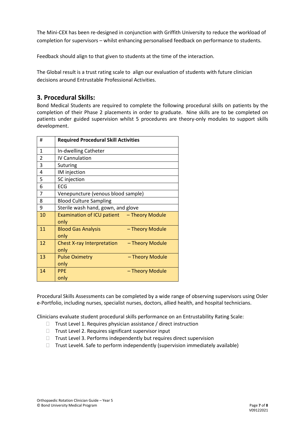The Mini-CEX has been re-designed in conjunction with Griffith University to reduce the workload of completion for supervisors – whilst enhancing personalised feedback on performance to students.

Feedback should align to that given to students at the time of the interaction.

The Global result is a trust rating scale to align our evaluation of students with future clinician decisions around Entrustable Professional Activities.

#### **3. Procedural Skills:**

Bond Medical Students are required to complete the following procedural skills on patients by the completion of their Phase 2 placements in order to graduate. Nine skills are to be completed on patients under guided supervision whilst 5 procedures are theory-only modules to support skills development.

| #              | <b>Required Procedural Skill Activities</b>                  |  |
|----------------|--------------------------------------------------------------|--|
| $\mathbf{1}$   | In-dwelling Catheter                                         |  |
| $\overline{2}$ | <b>IV Cannulation</b>                                        |  |
| 3              | Suturing                                                     |  |
| 4              | IM injection                                                 |  |
| 5              | SC injection                                                 |  |
| 6              | ECG                                                          |  |
| 7              | Venepuncture (venous blood sample)                           |  |
| 8              | <b>Blood Culture Sampling</b>                                |  |
| 9              | Sterile wash hand, gown, and glove                           |  |
| 10             | Examination of ICU patient - Theory Module<br>only           |  |
| 11             | - Theory Module<br><b>Blood Gas Analysis</b><br>only         |  |
| 12             | <b>Chest X-ray Interpretation</b><br>- Theory Module<br>only |  |
| 13             | <b>Pulse Oximetry</b><br>- Theory Module<br>only             |  |
| 14             | <b>PPE</b><br>- Theory Module<br>only                        |  |

Procedural Skills Assessments can be completed by a wide range of observing supervisors using Osler e-Portfolio, including nurses, specialist nurses, doctors, allied health, and hospital technicians.

Clinicians evaluate student procedural skills performance on an Entrustability Rating Scale:

- $\Box$  Trust Level 1. Requires physician assistance / direct instruction
- $\Box$  Trust Level 2. Requires significant supervisor input
- $\Box$  Trust Level 3. Performs independently but requires direct supervision
- $\Box$  Trust Level4. Safe to perform independently (supervision immediately available)